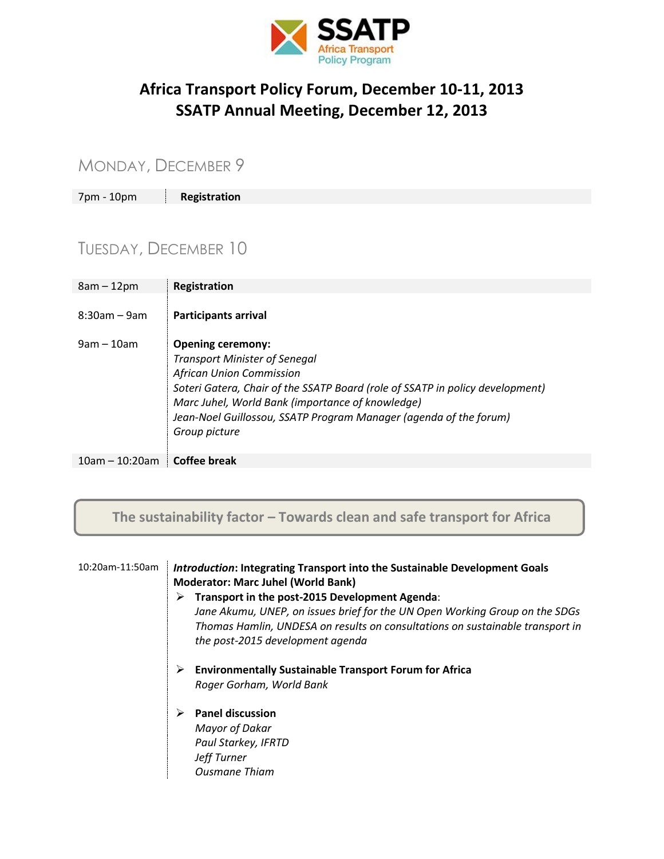

### **Africa Transport Policy Forum, December 10-11, 2013 SSATP Annual Meeting, December 12, 2013**

### MONDAY, DECEMBER 9

7pm - 10pm **Registration**

# TUESDAY, DECEMBER 10

| $8am - 12pm$     | Registration                                                                                                                                                                                                                                                                                                                   |
|------------------|--------------------------------------------------------------------------------------------------------------------------------------------------------------------------------------------------------------------------------------------------------------------------------------------------------------------------------|
| $8:30$ am – 9am  | <b>Participants arrival</b>                                                                                                                                                                                                                                                                                                    |
| $9am - 10am$     | <b>Opening ceremony:</b><br><b>Transport Minister of Senegal</b><br><b>African Union Commission</b><br>Soteri Gatera, Chair of the SSATP Board (role of SSATP in policy development)<br>Marc Juhel, World Bank (importance of knowledge)<br>Jean-Noel Guillossou, SSATP Program Manager (agenda of the forum)<br>Group picture |
| $10am - 10:20am$ | Coffee break                                                                                                                                                                                                                                                                                                                   |

**The sustainability factor – Towards clean and safe transport for Africa**

| 10:20am-11:50am | <b>Introduction: Integrating Transport into the Sustainable Development Goals</b><br><b>Moderator: Marc Juhel (World Bank)</b><br>Transport in the post-2015 Development Agenda:<br>Jane Akumu, UNEP, on issues brief for the UN Open Working Group on the SDGs<br>Thomas Hamlin, UNDESA on results on consultations on sustainable transport in<br>the post-2015 development agenda |
|-----------------|--------------------------------------------------------------------------------------------------------------------------------------------------------------------------------------------------------------------------------------------------------------------------------------------------------------------------------------------------------------------------------------|
|                 | <b>Environmentally Sustainable Transport Forum for Africa</b><br>➤<br>Roger Gorham, World Bank                                                                                                                                                                                                                                                                                       |
|                 | <b>Panel discussion</b><br>Mayor of Dakar<br>Paul Starkey, IFRTD<br><b>Jeff Turner</b><br><b>Ousmane Thiam</b>                                                                                                                                                                                                                                                                       |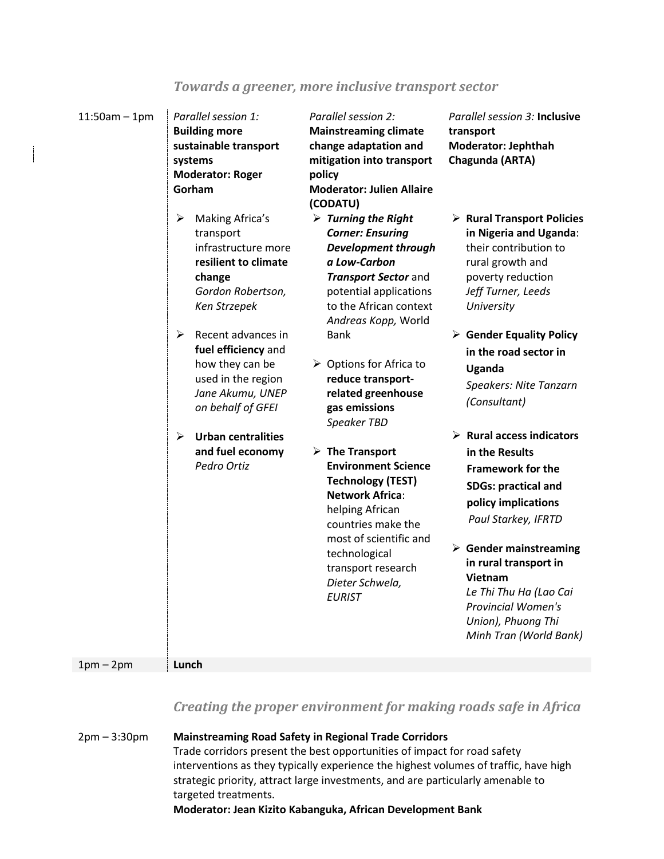| $11:50am - 1pm$ | Parallel session 1:<br><b>Building more</b><br>sustainable transport<br>systems<br><b>Moderator: Roger</b><br>Gorham                                                                                                                                                                                                                     | Parallel session 2:<br><b>Mainstreaming climate</b><br>change adaptation and<br>mitigation into transport<br>policy<br><b>Moderator: Julien Allaire</b>                                                                                                                                                                                                                                                                                                                                                                                                                                                                                   | Parallel session 3: Inclusive<br>transport<br>Moderator: Jephthah<br>Chagunda (ARTA)                                                                                                                                                                                                                                                                                                                                                                                                                                                                                                                                                                               |
|-----------------|------------------------------------------------------------------------------------------------------------------------------------------------------------------------------------------------------------------------------------------------------------------------------------------------------------------------------------------|-------------------------------------------------------------------------------------------------------------------------------------------------------------------------------------------------------------------------------------------------------------------------------------------------------------------------------------------------------------------------------------------------------------------------------------------------------------------------------------------------------------------------------------------------------------------------------------------------------------------------------------------|--------------------------------------------------------------------------------------------------------------------------------------------------------------------------------------------------------------------------------------------------------------------------------------------------------------------------------------------------------------------------------------------------------------------------------------------------------------------------------------------------------------------------------------------------------------------------------------------------------------------------------------------------------------------|
|                 | Making Africa's<br>➤<br>transport<br>infrastructure more<br>resilient to climate<br>change<br>Gordon Robertson,<br>Ken Strzepek<br>➤<br>Recent advances in<br>fuel efficiency and<br>how they can be<br>used in the region<br>Jane Akumu, UNEP<br>on behalf of GFEI<br>➤<br><b>Urban centralities</b><br>and fuel economy<br>Pedro Ortiz | (CODATU)<br>$\triangleright$ Turning the Right<br><b>Corner: Ensuring</b><br><b>Development through</b><br>a Low-Carbon<br><b>Transport Sector and</b><br>potential applications<br>to the African context<br>Andreas Kopp, World<br><b>Bank</b><br>$\triangleright$ Options for Africa to<br>reduce transport-<br>related greenhouse<br>gas emissions<br>Speaker TBD<br>$\triangleright$ The Transport<br><b>Environment Science</b><br><b>Technology (TEST)</b><br><b>Network Africa:</b><br>helping African<br>countries make the<br>most of scientific and<br>technological<br>transport research<br>Dieter Schwela,<br><b>EURIST</b> | $\triangleright$ Rural Transport Policies<br>in Nigeria and Uganda:<br>their contribution to<br>rural growth and<br>poverty reduction<br>Jeff Turner, Leeds<br>University<br>$\triangleright$ Gender Equality Policy<br>in the road sector in<br>Uganda<br><b>Speakers: Nite Tanzarn</b><br>(Consultant)<br>$\triangleright$ Rural access indicators<br>in the Results<br><b>Framework for the</b><br><b>SDGs: practical and</b><br>policy implications<br>Paul Starkey, IFRTD<br>$\triangleright$ Gender mainstreaming<br>in rural transport in<br>Vietnam<br>Le Thi Thu Ha (Lao Cai<br><b>Provincial Women's</b><br>Union), Phuong Thi<br>Minh Tran (World Bank) |
| $1pm-2pm$       | Lunch                                                                                                                                                                                                                                                                                                                                    |                                                                                                                                                                                                                                                                                                                                                                                                                                                                                                                                                                                                                                           |                                                                                                                                                                                                                                                                                                                                                                                                                                                                                                                                                                                                                                                                    |

### *Creating the proper environment for making roads safe in Africa*

| $2pm - 3:30pm$ | <b>Mainstreaming Road Safety in Regional Trade Corridors</b>                         |
|----------------|--------------------------------------------------------------------------------------|
|                | Trade corridors present the best opportunities of impact for road safety             |
|                | interventions as they typically experience the highest volumes of traffic, have high |
|                | strategic priority, attract large investments, and are particularly amenable to      |
|                | targeted treatments.                                                                 |
|                | Moderator: Jean Kizito Kabanguka, African Development Bank                           |

### *Towards a greener, more inclusive transport sector*

 $\overline{\phantom{a}}$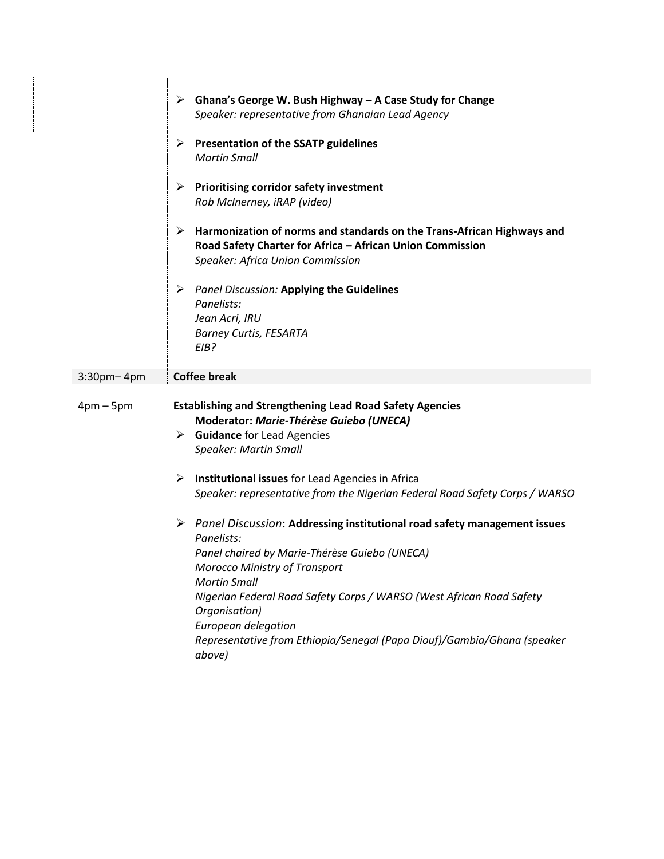|                   | $\triangleright$ Ghana's George W. Bush Highway – A Case Study for Change<br>Speaker: representative from Ghanaian Lead Agency                                                                                                                                                                                                                                                                                   |
|-------------------|------------------------------------------------------------------------------------------------------------------------------------------------------------------------------------------------------------------------------------------------------------------------------------------------------------------------------------------------------------------------------------------------------------------|
|                   | <b>Presentation of the SSATP guidelines</b><br>➤<br><b>Martin Small</b>                                                                                                                                                                                                                                                                                                                                          |
|                   | <b>Prioritising corridor safety investment</b><br>➤<br>Rob McInerney, iRAP (video)                                                                                                                                                                                                                                                                                                                               |
|                   | ➤<br>Harmonization of norms and standards on the Trans-African Highways and<br>Road Safety Charter for Africa - African Union Commission<br><b>Speaker: Africa Union Commission</b>                                                                                                                                                                                                                              |
|                   | <b>Panel Discussion: Applying the Guidelines</b><br>➤<br>Panelists:<br>Jean Acri, IRU<br><b>Barney Curtis, FESARTA</b><br>EIB?                                                                                                                                                                                                                                                                                   |
| $3:30$ pm- $4$ pm | <b>Coffee break</b>                                                                                                                                                                                                                                                                                                                                                                                              |
| $4pm-5pm$         | <b>Establishing and Strengthening Lead Road Safety Agencies</b><br>Moderator: Marie-Thérèse Guiebo (UNECA)<br>$\triangleright$ Guidance for Lead Agencies<br><b>Speaker: Martin Small</b>                                                                                                                                                                                                                        |
|                   | Institutional issues for Lead Agencies in Africa<br>➤<br>Speaker: representative from the Nigerian Federal Road Safety Corps / WARSO                                                                                                                                                                                                                                                                             |
|                   | Panel Discussion: Addressing institutional road safety management issues<br>➤<br>Panelists:<br>Panel chaired by Marie-Thérèse Guiebo (UNECA)<br><b>Morocco Ministry of Transport</b><br><b>Martin Small</b><br>Nigerian Federal Road Safety Corps / WARSO (West African Road Safety<br>Organisation)<br>European delegation<br>Representative from Ethiopia/Senegal (Papa Diouf)/Gambia/Ghana (speaker<br>above) |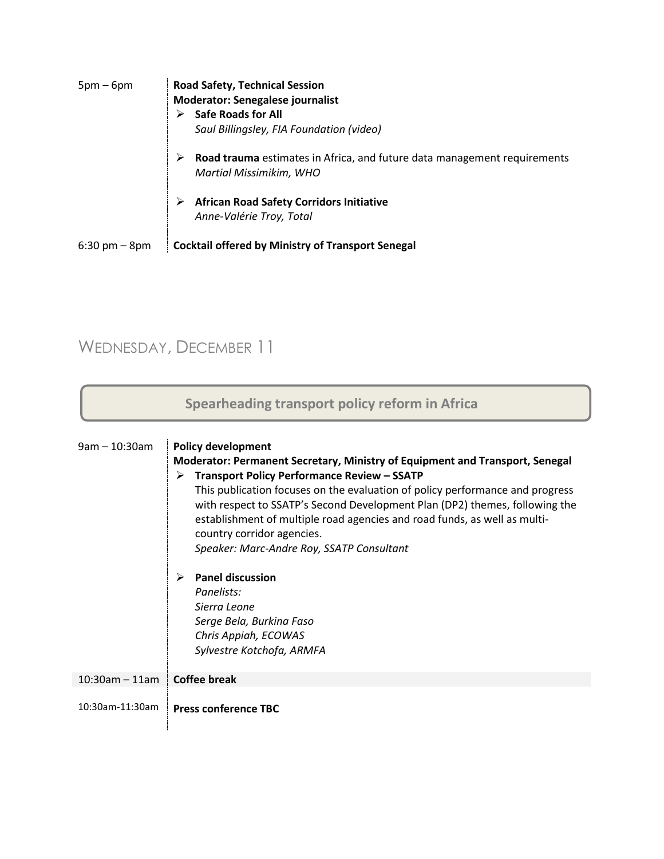| $5pm-6pm$                       | <b>Road Safety, Technical Session</b><br><b>Moderator: Senegalese journalist</b><br><b>Safe Roads for All</b><br>Saul Billingsley, FIA Foundation (video) |
|---------------------------------|-----------------------------------------------------------------------------------------------------------------------------------------------------------|
|                                 | Road trauma estimates in Africa, and future data management requirements<br><b>Martial Missimikim, WHO</b>                                                |
|                                 | <b>African Road Safety Corridors Initiative</b><br>Anne-Valérie Troy, Total                                                                               |
| $6:30 \text{ pm} - 8 \text{pm}$ | <b>Cocktail offered by Ministry of Transport Senegal</b>                                                                                                  |

# WEDNESDAY, DECEMBER 11

| Spearheading transport policy reform in Africa |                                                                                                                                                                                                                                                                                                                                                                                                                                                                                                                                                                                                                                             |  |
|------------------------------------------------|---------------------------------------------------------------------------------------------------------------------------------------------------------------------------------------------------------------------------------------------------------------------------------------------------------------------------------------------------------------------------------------------------------------------------------------------------------------------------------------------------------------------------------------------------------------------------------------------------------------------------------------------|--|
| $9am - 10:30am$                                | <b>Policy development</b><br>Moderator: Permanent Secretary, Ministry of Equipment and Transport, Senegal<br><b>Transport Policy Performance Review - SSATP</b><br>➤<br>This publication focuses on the evaluation of policy performance and progress<br>with respect to SSATP's Second Development Plan (DP2) themes, following the<br>establishment of multiple road agencies and road funds, as well as multi-<br>country corridor agencies.<br>Speaker: Marc-Andre Roy, SSATP Consultant<br><b>Panel discussion</b><br>➤<br>Panelists:<br>Sierra Leone<br>Serge Bela, Burkina Faso<br>Chris Appiah, ECOWAS<br>Sylvestre Kotchofa, ARMFA |  |
| $10:30$ am - 11am                              | <b>Coffee break</b>                                                                                                                                                                                                                                                                                                                                                                                                                                                                                                                                                                                                                         |  |
| 10:30am-11:30am                                | <b>Press conference TBC</b>                                                                                                                                                                                                                                                                                                                                                                                                                                                                                                                                                                                                                 |  |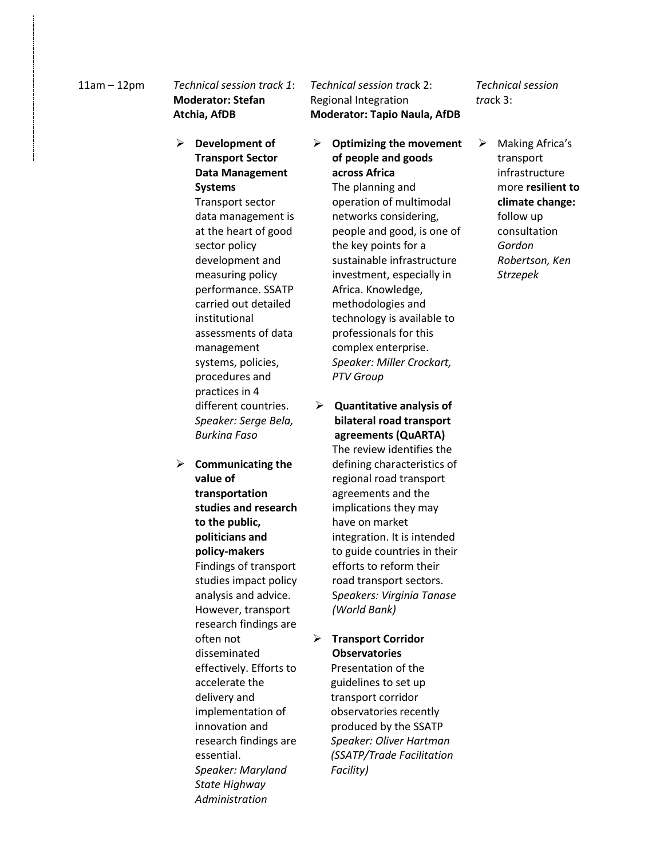#### 11am – 12pm *Technical session track 1*: **Moderator: Stefan Atchia, AfDB**

- **Development of Transport Sector Data Management Systems** Transport sector data management is at the heart of good sector policy development and measuring policy performance. SSATP carried out detailed institutional assessments of data management systems, policies, procedures and practices in 4 different countries. *Speaker: Serge Bela, Burkina Faso*
- **Communicating the value of transportation studies and research to the public, politicians and policy-makers** Findings of transport studies impact policy analysis and advice. However, transport research findings are often not disseminated effectively. Efforts to accelerate the delivery and implementation of innovation and research findings are essential. *Speaker: Maryland State Highway Administration*

#### *Technical session tra*ck 2: Regional Integration **Moderator: Tapio Naula, AfDB**

- **Optimizing the movement of people and goods across Africa** The planning and operation of multimodal networks considering, people and good, is one of the key points for a sustainable infrastructure investment, especially in Africa. Knowledge, methodologies and technology is available to professionals for this complex enterprise. *Speaker: Miller Crockart, PTV Group*
- **Quantitative analysis of bilateral road transport agreements (QuARTA)** The review identifies the defining characteristics of regional road transport agreements and the implications they may have on market integration. It is intended to guide countries in their efforts to reform their road transport sectors. S*peakers: Virginia Tanase (World Bank)*
- **Transport Corridor Observatories** Presentation of the guidelines to set up transport corridor observatories recently produced by the SSATP *Speaker: Oliver Hartman (SSATP/Trade Facilitation Facility)*

*Technical session tra*ck 3:

 $\triangleright$  Making Africa's transport infrastructure more **resilient to climate change:**  follow up consultation *Gordon Robertson, Ken Strzepek*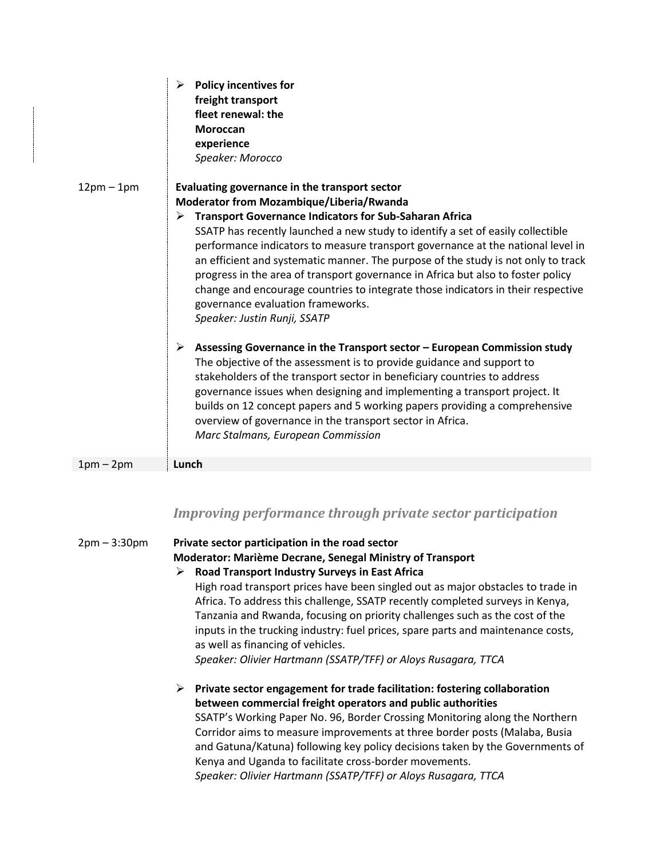|              | ➤<br><b>Policy incentives for</b><br>freight transport<br>fleet renewal: the<br><b>Moroccan</b>                                                                       |
|--------------|-----------------------------------------------------------------------------------------------------------------------------------------------------------------------|
|              | experience                                                                                                                                                            |
|              | Speaker: Morocco                                                                                                                                                      |
| $12pm - 1pm$ | Evaluating governance in the transport sector                                                                                                                         |
|              | Moderator from Mozambique/Liberia/Rwanda                                                                                                                              |
|              | <b>Transport Governance Indicators for Sub-Saharan Africa</b><br>➤                                                                                                    |
|              | SSATP has recently launched a new study to identify a set of easily collectible                                                                                       |
|              | performance indicators to measure transport governance at the national level in                                                                                       |
|              | an efficient and systematic manner. The purpose of the study is not only to track<br>progress in the area of transport governance in Africa but also to foster policy |
|              | change and encourage countries to integrate those indicators in their respective                                                                                      |
|              | governance evaluation frameworks.                                                                                                                                     |
|              | Speaker: Justin Runji, SSATP                                                                                                                                          |
|              | Assessing Governance in the Transport sector - European Commission study<br>≻                                                                                         |
|              | The objective of the assessment is to provide guidance and support to                                                                                                 |
|              | stakeholders of the transport sector in beneficiary countries to address                                                                                              |
|              | governance issues when designing and implementing a transport project. It                                                                                             |
|              | builds on 12 concept papers and 5 working papers providing a comprehensive                                                                                            |
|              | overview of governance in the transport sector in Africa.                                                                                                             |
|              | Marc Stalmans, European Commission                                                                                                                                    |
| $1pm-2pm$    | Lunch                                                                                                                                                                 |

#### *Improving performance through private sector participation*

2pm – 3:30pm **Private sector participation in the road sector Moderator: Marième Decrane, Senegal Ministry of Transport Road Transport Industry Surveys in East Africa** High road transport prices have been singled out as major obstacles to trade in Africa. To address this challenge, SSATP recently completed surveys in Kenya, Tanzania and Rwanda, focusing on priority challenges such as the cost of the inputs in the trucking industry: fuel prices, spare parts and maintenance costs, as well as financing of vehicles. *Speaker: Olivier Hartmann (SSATP/TFF) or Aloys Rusagara, TTCA* **Private sector engagement for trade facilitation: fostering collaboration between commercial freight operators and public authorities** SSATP's Working Paper No. 96, Border Crossing Monitoring along the Northern Corridor aims to measure improvements at three border posts (Malaba, Busia and Gatuna/Katuna) following key policy decisions taken by the Governments of Kenya and Uganda to facilitate cross-border movements. *Speaker: Olivier Hartmann (SSATP/TFF) or Aloys Rusagara, TTCA*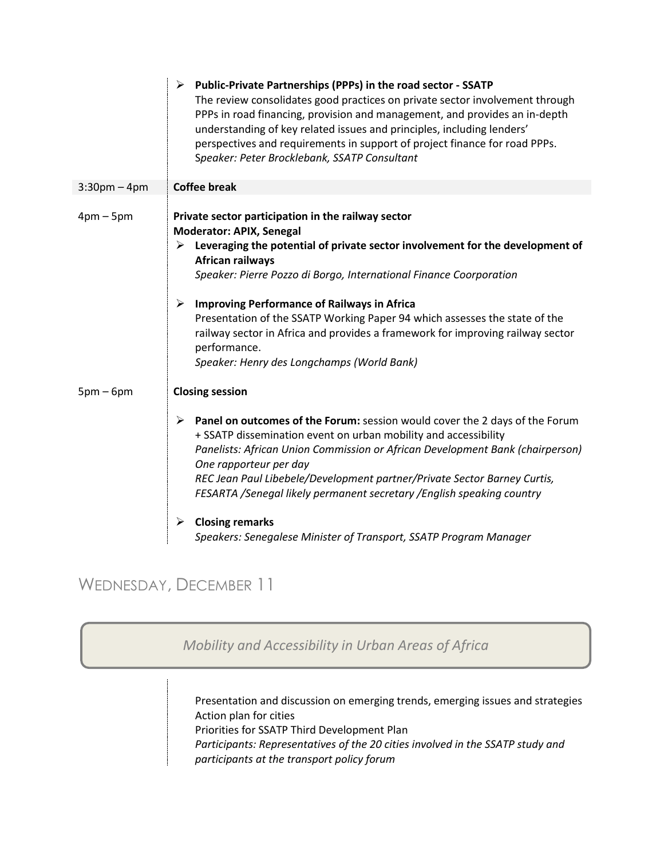|                   | ↘<br>Public-Private Partnerships (PPPs) in the road sector - SSATP<br>The review consolidates good practices on private sector involvement through<br>PPPs in road financing, provision and management, and provides an in-depth<br>understanding of key related issues and principles, including lenders'<br>perspectives and requirements in support of project finance for road PPPs.<br>Speaker: Peter Brocklebank, SSATP Consultant                                                                                                                                   |
|-------------------|----------------------------------------------------------------------------------------------------------------------------------------------------------------------------------------------------------------------------------------------------------------------------------------------------------------------------------------------------------------------------------------------------------------------------------------------------------------------------------------------------------------------------------------------------------------------------|
| $3:30$ pm $-4$ pm | <b>Coffee break</b>                                                                                                                                                                                                                                                                                                                                                                                                                                                                                                                                                        |
| $4pm-5pm$         | Private sector participation in the railway sector<br>Moderator: APIX, Senegal<br>$\triangleright$ Leveraging the potential of private sector involvement for the development of<br><b>African railways</b><br>Speaker: Pierre Pozzo di Borgo, International Finance Coorporation<br><b>Improving Performance of Railways in Africa</b><br>➤<br>Presentation of the SSATP Working Paper 94 which assesses the state of the<br>railway sector in Africa and provides a framework for improving railway sector<br>performance.<br>Speaker: Henry des Longchamps (World Bank) |
| $5pm-6pm$         | <b>Closing session</b>                                                                                                                                                                                                                                                                                                                                                                                                                                                                                                                                                     |
|                   | Panel on outcomes of the Forum: session would cover the 2 days of the Forum<br>➤<br>+ SSATP dissemination event on urban mobility and accessibility<br>Panelists: African Union Commission or African Development Bank (chairperson)<br>One rapporteur per day<br>REC Jean Paul Libebele/Development partner/Private Sector Barney Curtis,<br>FESARTA /Senegal likely permanent secretary /English speaking country<br><b>Closing remarks</b><br>➤                                                                                                                         |
|                   | Speakers: Senegalese Minister of Transport, SSATP Program Manager                                                                                                                                                                                                                                                                                                                                                                                                                                                                                                          |

### WEDNESDAY, DECEMBER 11

*Mobility and Accessibility in Urban Areas of Africa*

Presentation and discussion on emerging trends, emerging issues and strategies Action plan for cities Priorities for SSATP Third Development Plan *Participants: Representatives of the 20 cities involved in the SSATP study and participants at the transport policy forum*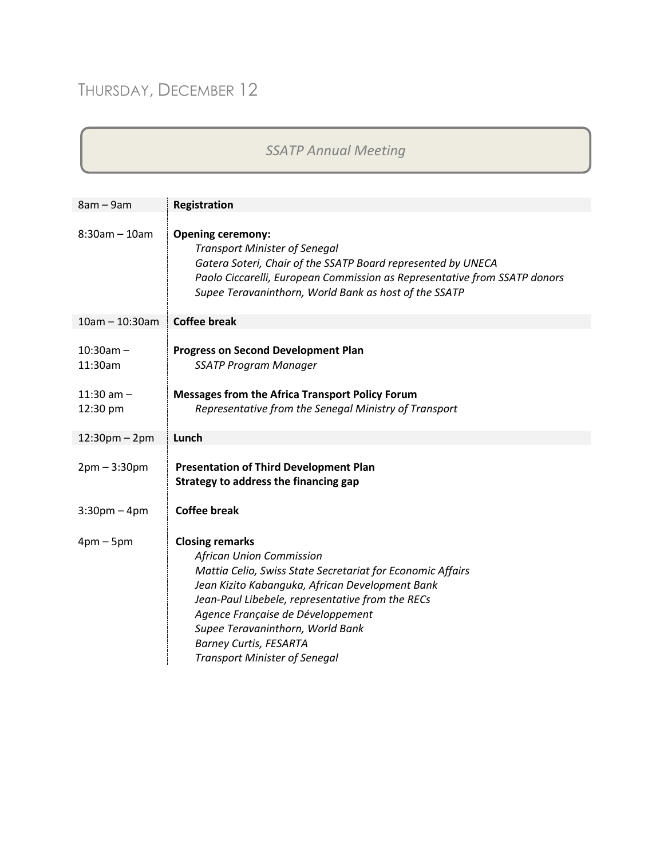# THURSDAY, DECEMBER 12

## *SSATP Annual Meeting*

| $8am - 9am$                                          | <b>Registration</b>                                                                                                                                                                                                                                                                                                                                                              |
|------------------------------------------------------|----------------------------------------------------------------------------------------------------------------------------------------------------------------------------------------------------------------------------------------------------------------------------------------------------------------------------------------------------------------------------------|
| $8:30$ am - 10am                                     | <b>Opening ceremony:</b><br><b>Transport Minister of Senegal</b><br>Gatera Soteri, Chair of the SSATP Board represented by UNECA<br>Paolo Ciccarelli, European Commission as Representative from SSATP donors<br>Supee Teravaninthorn, World Bank as host of the SSATP                                                                                                           |
| $10am - 10:30am$                                     | <b>Coffee break</b>                                                                                                                                                                                                                                                                                                                                                              |
| $10:30am -$<br>11:30am<br>$11:30$ am $-$<br>12:30 pm | <b>Progress on Second Development Plan</b><br><b>SSATP Program Manager</b><br><b>Messages from the Africa Transport Policy Forum</b><br>Representative from the Senegal Ministry of Transport                                                                                                                                                                                    |
| $12:30$ pm – 2pm                                     | Lunch                                                                                                                                                                                                                                                                                                                                                                            |
| $2pm - 3:30pm$                                       | <b>Presentation of Third Development Plan</b><br>Strategy to address the financing gap                                                                                                                                                                                                                                                                                           |
| $3:30$ pm – 4pm                                      | <b>Coffee break</b>                                                                                                                                                                                                                                                                                                                                                              |
| $4pm-5pm$                                            | <b>Closing remarks</b><br><b>African Union Commission</b><br>Mattia Celio, Swiss State Secretariat for Economic Affairs<br>Jean Kizito Kabanguka, African Development Bank<br>Jean-Paul Libebele, representative from the RECs<br>Agence Française de Développement<br>Supee Teravaninthorn, World Bank<br><b>Barney Curtis, FESARTA</b><br><b>Transport Minister of Senegal</b> |